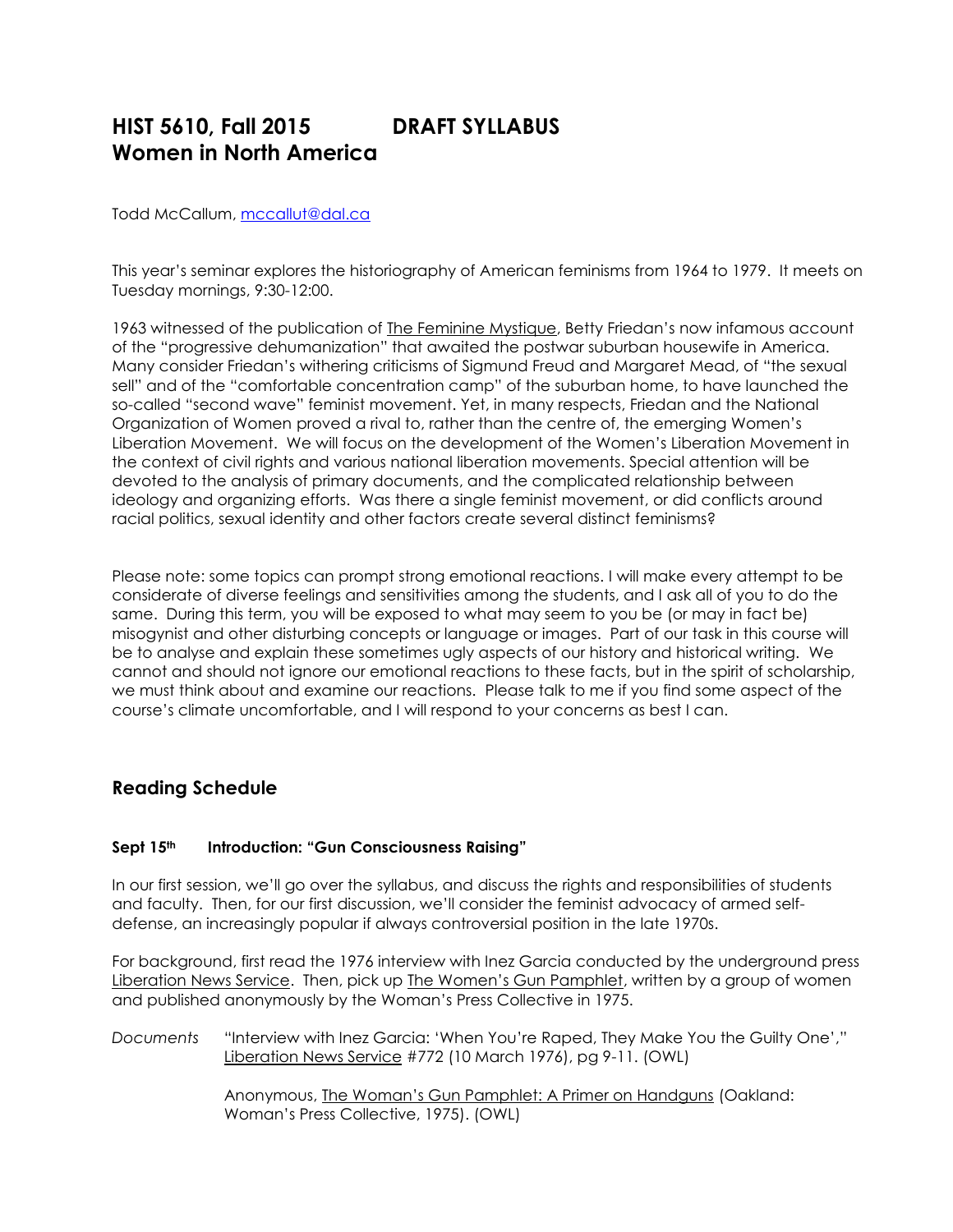# **HIST 5610, Fall 2015 DRAFT SYLLABUS Women in North America**

Todd McCallum, [mccallut@dal.ca](mailto:mccallut@dal.ca)

This year's seminar explores the historiography of American feminisms from 1964 to 1979. It meets on Tuesday mornings, 9:30-12:00.

1963 witnessed of the publication of The Feminine Mystique, Betty Friedan's now infamous account of the "progressive dehumanization" that awaited the postwar suburban housewife in America. Many consider Friedan's withering criticisms of Sigmund Freud and Margaret Mead, of "the sexual sell" and of the "comfortable concentration camp" of the suburban home, to have launched the so-called "second wave" feminist movement. Yet, in many respects, Friedan and the National Organization of Women proved a rival to, rather than the centre of, the emerging Women's Liberation Movement. We will focus on the development of the Women's Liberation Movement in the context of civil rights and various national liberation movements. Special attention will be devoted to the analysis of primary documents, and the complicated relationship between ideology and organizing efforts. Was there a single feminist movement, or did conflicts around racial politics, sexual identity and other factors create several distinct feminisms?

Please note: some topics can prompt strong emotional reactions. I will make every attempt to be considerate of diverse feelings and sensitivities among the students, and I ask all of you to do the same. During this term, you will be exposed to what may seem to you be (or may in fact be) misogynist and other disturbing concepts or language or images. Part of our task in this course will be to analyse and explain these sometimes ugly aspects of our history and historical writing. We cannot and should not ignore our emotional reactions to these facts, but in the spirit of scholarship, we must think about and examine our reactions. Please talk to me if you find some aspect of the course's climate uncomfortable, and I will respond to your concerns as best I can.

# **Reading Schedule**

# **Sept 15th Introduction: "Gun Consciousness Raising"**

In our first session, we'll go over the syllabus, and discuss the rights and responsibilities of students and faculty. Then, for our first discussion, we'll consider the feminist advocacy of armed selfdefense, an increasingly popular if always controversial position in the late 1970s.

For background, first read the 1976 interview with Inez Garcia conducted by the underground press Liberation News Service. Then, pick up The Women's Gun Pamphlet, written by a group of women and published anonymously by the Woman's Press Collective in 1975.

*Documents* "Interview with Inez Garcia: 'When You're Raped, They Make You the Guilty One'," Liberation News Service #772 (10 March 1976), pg 9-11. (OWL)

> Anonymous, The Woman's Gun Pamphlet: A Primer on Handguns (Oakland: Woman's Press Collective, 1975). (OWL)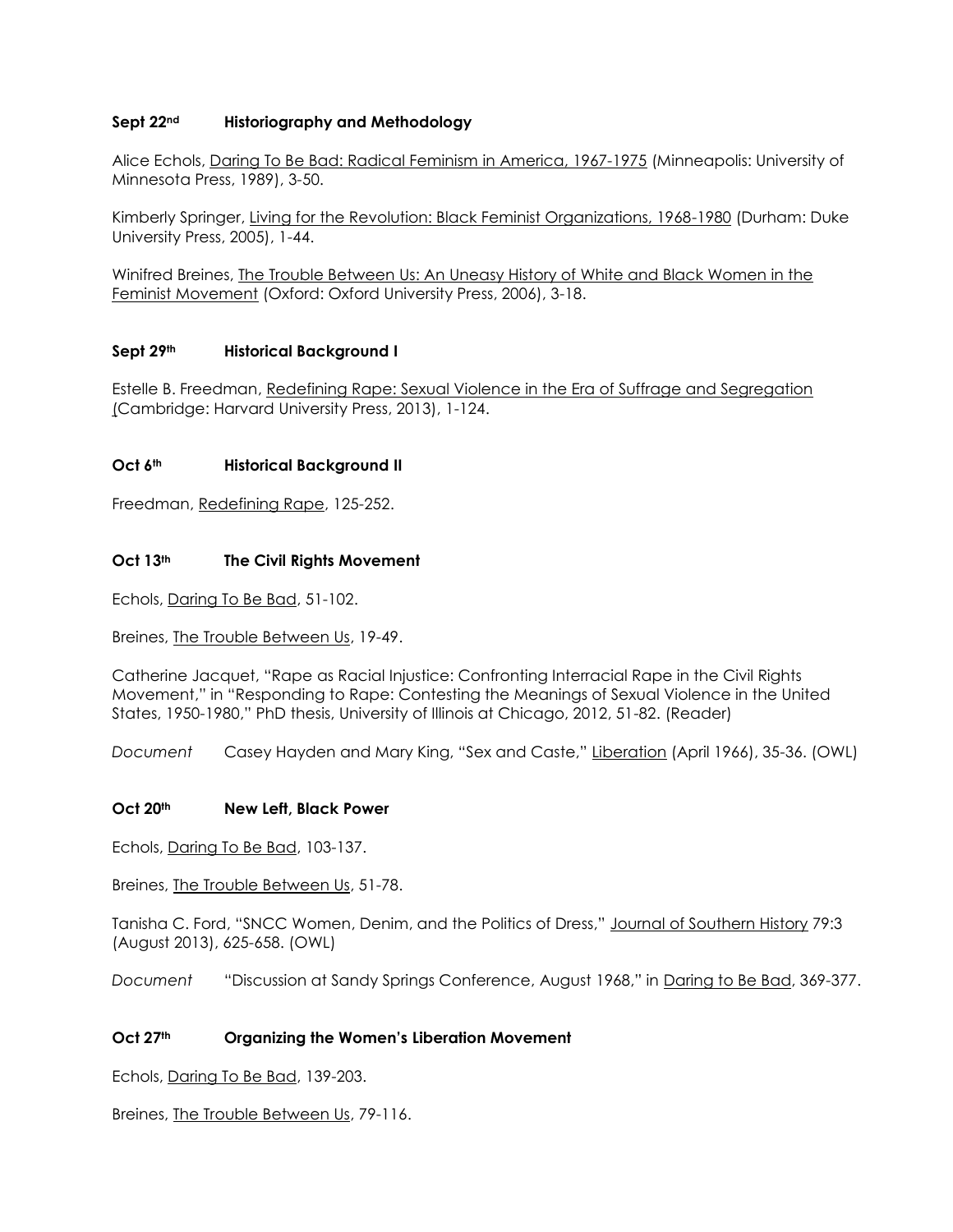# **Sept 22nd Historiography and Methodology**

Alice Echols, Daring To Be Bad: Radical Feminism in America, 1967-1975 (Minneapolis: University of Minnesota Press, 1989), 3-50.

Kimberly Springer, Living for the Revolution: Black Feminist Organizations, 1968-1980 (Durham: Duke University Press, 2005), 1-44.

Winifred Breines, The Trouble Between Us: An Uneasy History of White and Black Women in the Feminist Movement (Oxford: Oxford University Press, 2006), 3-18.

# **Sept 29th Historical Background I**

Estelle B. Freedman, Redefining Rape: Sexual Violence in the Era of Suffrage and Segregation (Cambridge: Harvard University Press, 2013), 1-124.

#### **Oct 6th Historical Background II**

Freedman, Redefining Rape, 125-252.

# **Oct 13th The Civil Rights Movement**

Echols, Daring To Be Bad, 51-102.

Breines, The Trouble Between Us, 19-49.

Catherine Jacquet, "Rape as Racial Injustice: Confronting Interracial Rape in the Civil Rights Movement," in "Responding to Rape: Contesting the Meanings of Sexual Violence in the United States, 1950-1980," PhD thesis, University of Illinois at Chicago, 2012, 51-82. (Reader)

*Document* Casey Hayden and Mary King, "Sex and Caste," Liberation (April 1966), 35-36. (OWL)

#### **Oct 20th New Left, Black Power**

Echols, Daring To Be Bad, 103-137.

Breines, The Trouble Between Us, 51-78.

Tanisha C. Ford, "SNCC Women, Denim, and the Politics of Dress," Journal of Southern History 79:3 (August 2013), 625-658. (OWL)

*Document* "Discussion at Sandy Springs Conference, August 1968," in Daring to Be Bad, 369-377.

### **Oct 27th Organizing the Women's Liberation Movement**

Echols, Daring To Be Bad, 139-203.

Breines, The Trouble Between Us, 79-116.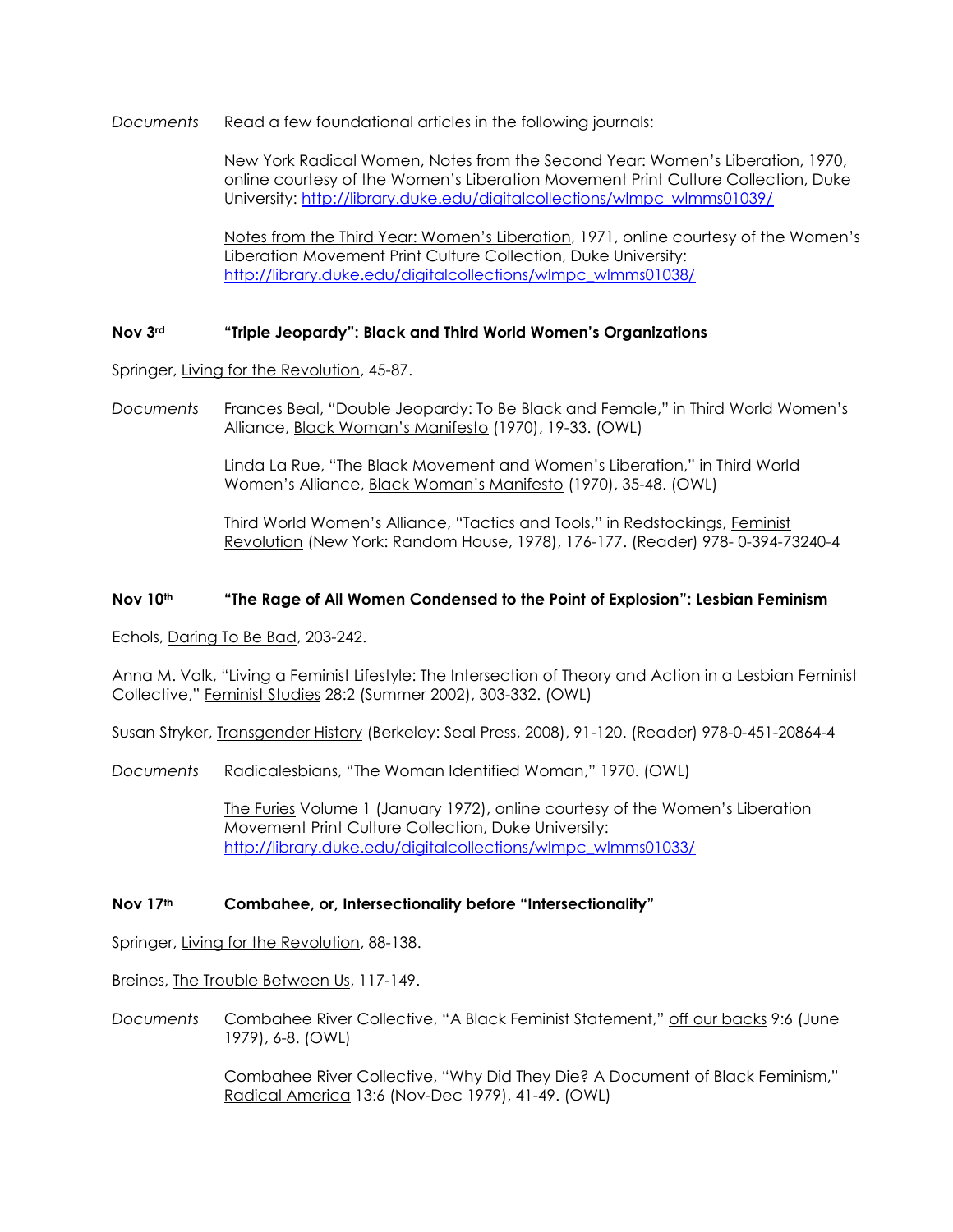*Documents* Read a few foundational articles in the following journals:

New York Radical Women, Notes from the Second Year: Women's Liberation, 1970, online courtesy of the Women's Liberation Movement Print Culture Collection, Duke University: [http://library.duke.edu/digitalcollections/wlmpc\\_wlmms01039/](http://library.duke.edu/digitalcollections/wlmpc_wlmms01039/)

Notes from the Third Year: Women's Liberation, 1971, online courtesy of the Women's Liberation Movement Print Culture Collection, Duke University: [http://library.duke.edu/digitalcollections/wlmpc\\_wlmms01038/](http://library.duke.edu/digitalcollections/wlmpc_wlmms01038/)

#### **Nov 3rd "Triple Jeopardy": Black and Third World Women's Organizations**

Springer, Living for the Revolution, 45-87.

*Documents* Frances Beal, "Double Jeopardy: To Be Black and Female," in Third World Women's Alliance, Black Woman's Manifesto (1970), 19-33. (OWL)

> Linda La Rue, "The Black Movement and Women's Liberation," in Third World Women's Alliance, Black Woman's Manifesto (1970), 35-48. (OWL)

Third World Women's Alliance, "Tactics and Tools," in Redstockings, Feminist Revolution (New York: Random House, 1978), 176-177. (Reader) 978- 0-394-73240-4

#### **Nov 10th "The Rage of All Women Condensed to the Point of Explosion": Lesbian Feminism**

Echols, Daring To Be Bad, 203-242.

Anna M. Valk, "Living a Feminist Lifestyle: The Intersection of Theory and Action in a Lesbian Feminist Collective," Feminist Studies 28:2 (Summer 2002), 303-332. (OWL)

Susan Stryker, Transgender History (Berkeley: Seal Press, 2008), 91-120. (Reader) 978-0-451-20864-4

*Documents* Radicalesbians, "The Woman Identified Woman," 1970. (OWL)

The Furies Volume 1 (January 1972), online courtesy of the Women's Liberation Movement Print Culture Collection, Duke University: [http://library.duke.edu/digitalcollections/wlmpc\\_wlmms01033/](http://library.duke.edu/digitalcollections/wlmpc_wlmms01033/)

#### **Nov 17th Combahee, or, Intersectionality before "Intersectionality"**

Springer, Living for the Revolution, 88-138.

Breines, The Trouble Between Us, 117-149.

*Documents* Combahee River Collective, "A Black Feminist Statement," off our backs 9:6 (June 1979), 6-8. (OWL)

> Combahee River Collective, "Why Did They Die? A Document of Black Feminism," Radical America 13:6 (Nov-Dec 1979), 41-49. (OWL)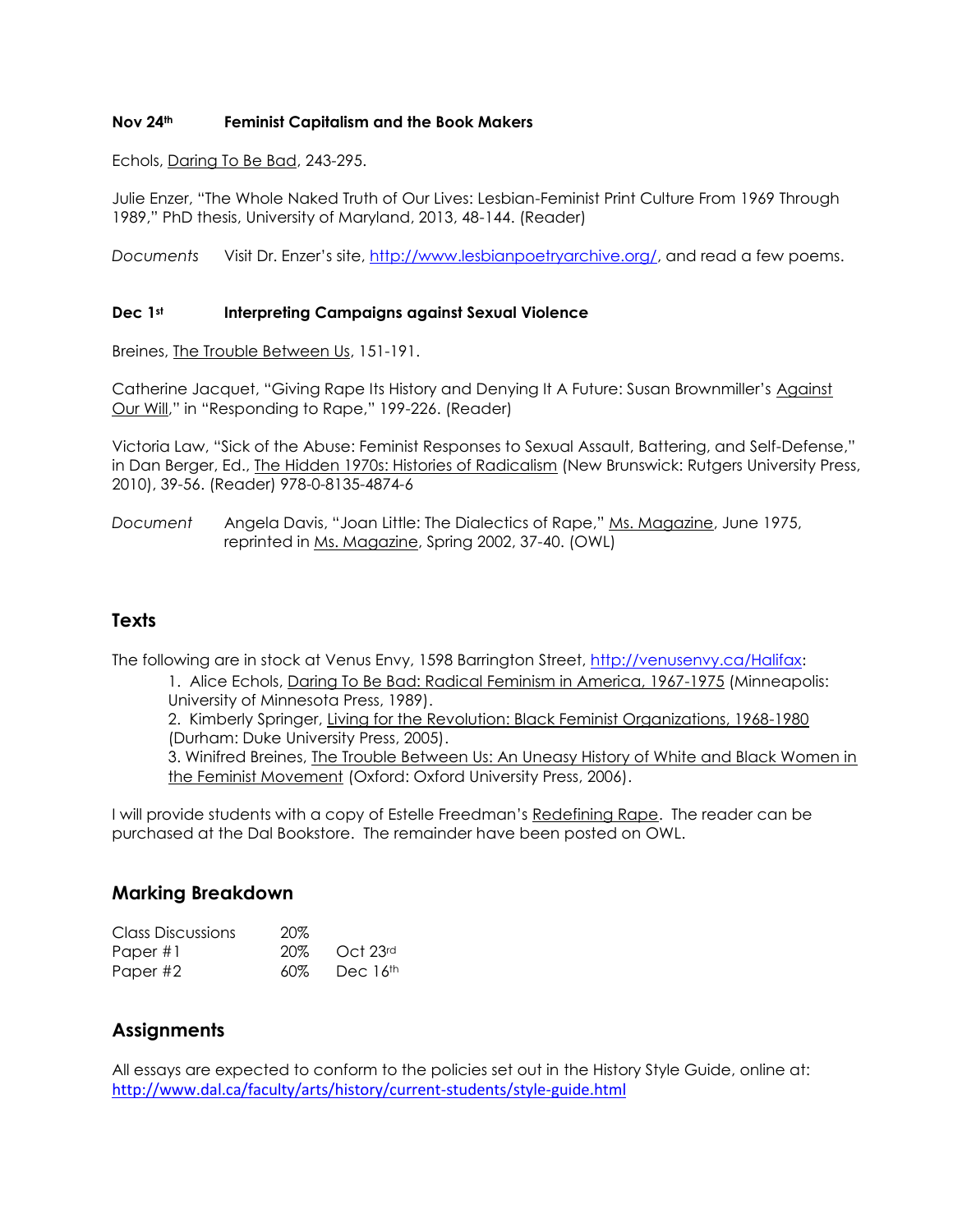#### **Nov 24th Feminist Capitalism and the Book Makers**

Echols, Daring To Be Bad, 243-295.

Julie Enzer, "The Whole Naked Truth of Our Lives: Lesbian-Feminist Print Culture From 1969 Through 1989," PhD thesis, University of Maryland, 2013, 48-144. (Reader)

*Documents* Visit Dr. Enzer's site, [http://www.lesbianpoetryarchive.org/,](http://www.lesbianpoetryarchive.org/) and read a few poems.

#### **Dec 1st Interpreting Campaigns against Sexual Violence**

Breines, The Trouble Between Us, 151-191.

Catherine Jacquet, "Giving Rape Its History and Denying It A Future: Susan Brownmiller's Against Our Will," in "Responding to Rape," 199-226. (Reader)

Victoria Law, "Sick of the Abuse: Feminist Responses to Sexual Assault, Battering, and Self-Defense," in Dan Berger, Ed., *The Hidden 1970s: Histories of Radicalism* (New Brunswick: Rutgers University Press, 2010), 39-56. (Reader) 978-0-8135-4874-6

*Document* Angela Davis, "Joan Little: The Dialectics of Rape," Ms. Magazine, June 1975, reprinted in Ms. Magazine, Spring 2002, 37-40. (OWL)

# **Texts**

The following are in stock at Venus Envy, 1598 Barrington Street,<http://venusenvy.ca/Halifax>:

1. Alice Echols, Daring To Be Bad: Radical Feminism in America, 1967-1975 (Minneapolis: University of Minnesota Press, 1989).

2. Kimberly Springer, Living for the Revolution: Black Feminist Organizations, 1968-1980 (Durham: Duke University Press, 2005).

3. Winifred Breines, The Trouble Between Us: An Uneasy History of White and Black Women in the Feminist Movement (Oxford: Oxford University Press, 2006).

I will provide students with a copy of Estelle Freedman's Redefining Rape. The reader can be purchased at the Dal Bookstore. The remainder have been posted on OWL.

# **Marking Breakdown**

| Class Discussions | 20% |          |
|-------------------|-----|----------|
| Paper #1          | 20% | Oct 23rd |
| Paper #2          | 60% | Dec 16th |

# **Assignments**

All essays are expected to conform to the policies set out in the History Style Guide, online at: <http://www.dal.ca/faculty/arts/history/current-students/style-guide.html>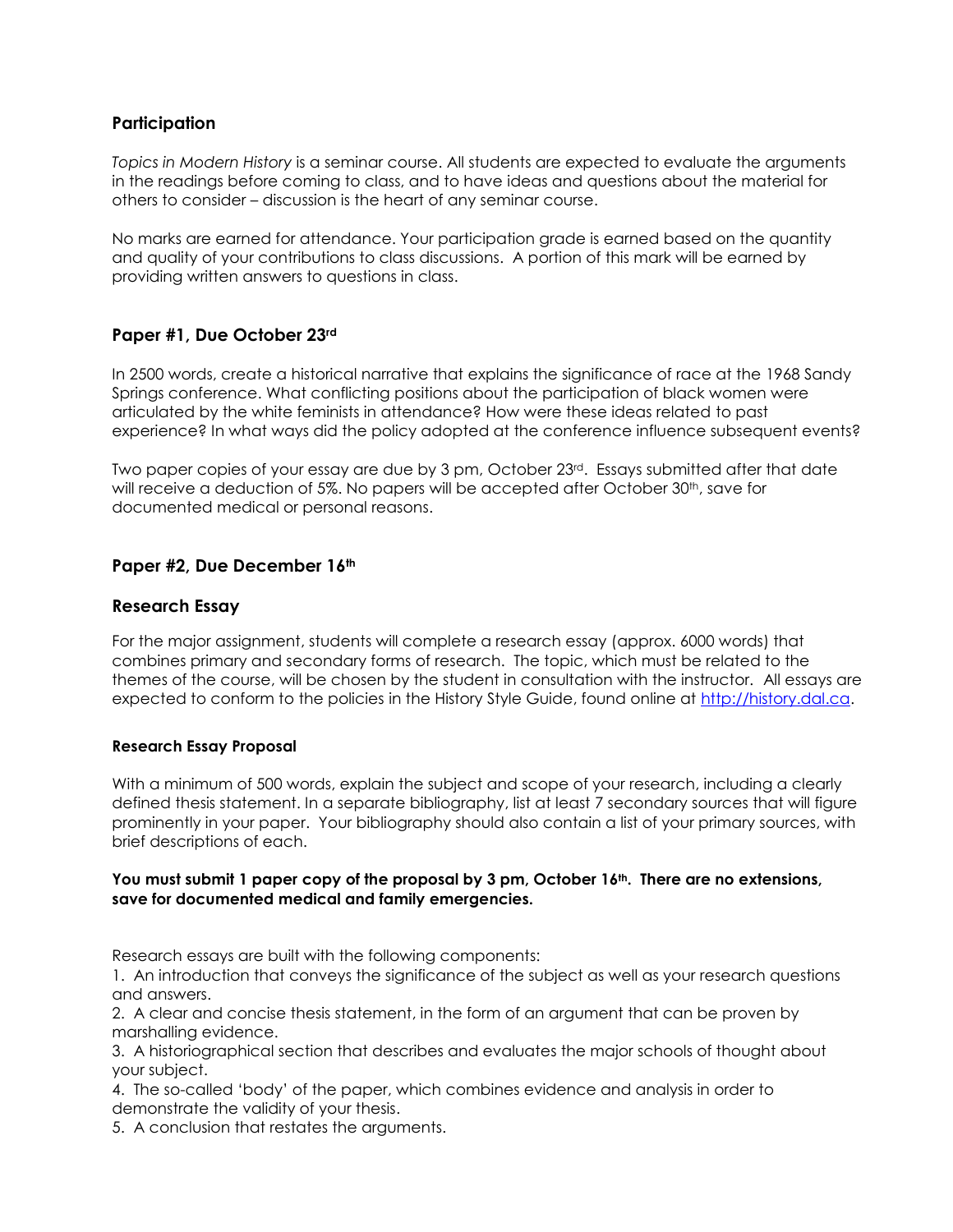# **Participation**

*Topics in Modern History* is a seminar course. All students are expected to evaluate the arguments in the readings before coming to class, and to have ideas and questions about the material for others to consider – discussion is the heart of any seminar course.

No marks are earned for attendance. Your participation grade is earned based on the quantity and quality of your contributions to class discussions. A portion of this mark will be earned by providing written answers to questions in class.

# **Paper #1, Due October 23rd**

In 2500 words, create a historical narrative that explains the significance of race at the 1968 Sandy Springs conference. What conflicting positions about the participation of black women were articulated by the white feminists in attendance? How were these ideas related to past experience? In what ways did the policy adopted at the conference influence subsequent events?

Two paper copies of your essay are due by 3 pm, October 23<sup>rd</sup>. Essays submitted after that date will receive a deduction of 5%. No papers will be accepted after October 30<sup>th</sup>, save for documented medical or personal reasons.

# **Paper #2, Due December 16th**

# **Research Essay**

For the major assignment, students will complete a research essay (approx. 6000 words) that combines primary and secondary forms of research. The topic, which must be related to the themes of the course, will be chosen by the student in consultation with the instructor. All essays are expected to conform to the policies in the History Style Guide, found online at [http://history.dal.ca.](http://history.dal.ca/)

#### **Research Essay Proposal**

With a minimum of 500 words, explain the subject and scope of your research, including a clearly defined thesis statement. In a separate bibliography, list at least 7 secondary sources that will figure prominently in your paper. Your bibliography should also contain a list of your primary sources, with brief descriptions of each.

#### **You must submit 1 paper copy of the proposal by 3 pm, October 16th. There are no extensions, save for documented medical and family emergencies.**

Research essays are built with the following components:

1. An introduction that conveys the significance of the subject as well as your research questions and answers.

2. A clear and concise thesis statement, in the form of an argument that can be proven by marshalling evidence.

3. A historiographical section that describes and evaluates the major schools of thought about your subject.

4. The so-called 'body' of the paper, which combines evidence and analysis in order to demonstrate the validity of your thesis.

5. A conclusion that restates the arguments.